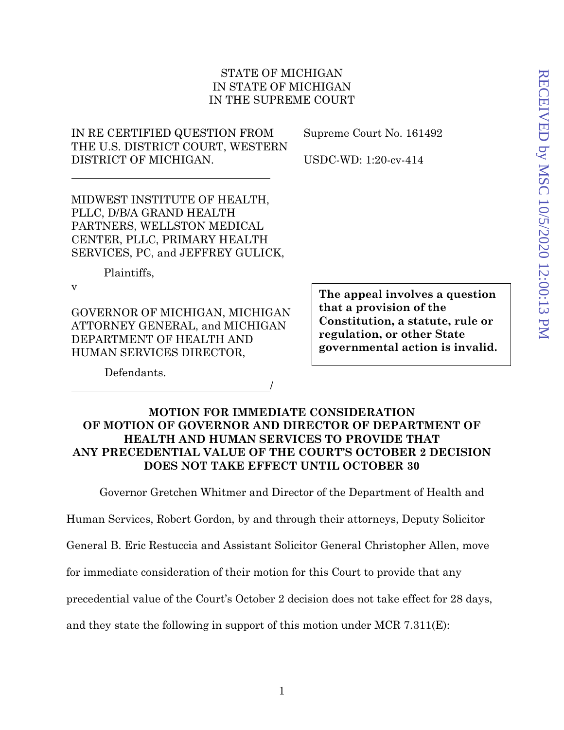## STATE OF MICHIGAN IN STATE OF MICHIGAN IN THE SUPREME COURT

IN RE CERTIFIED QUESTION FROM THE U.S. DISTRICT COURT, WESTERN DISTRICT OF MICHIGAN.

Supreme Court No. 161492

USDC-WD: 1:20-cv-414

MIDWEST INSTITUTE OF HEALTH, PLLC, D/B/A GRAND HEALTH PARTNERS, WELLSTON MEDICAL CENTER, PLLC, PRIMARY HEALTH SERVICES, PC, and JEFFREY GULICK,

Plaintiffs,

v

GOVERNOR OF MICHIGAN, MICHIGAN ATTORNEY GENERAL, and MICHIGAN DEPARTMENT OF HEALTH AND HUMAN SERVICES DIRECTOR,

**The appeal involves a question that a provision of the Constitution, a statute, rule or regulation, or other State governmental action is invalid.** 

Defendants.

## **MOTION FOR IMMEDIATE CONSIDERATION OF MOTION OF GOVERNOR AND DIRECTOR OF DEPARTMENT OF HEALTH AND HUMAN SERVICES TO PROVIDE THAT ANY PRECEDENTIAL VALUE OF THE COURT'S OCTOBER 2 DECISION DOES NOT TAKE EFFECT UNTIL OCTOBER 30**

/

Governor Gretchen Whitmer and Director of the Department of Health and

Human Services, Robert Gordon, by and through their attorneys, Deputy Solicitor

General B. Eric Restuccia and Assistant Solicitor General Christopher Allen, move

for immediate consideration of their motion for this Court to provide that any

precedential value of the Court's October 2 decision does not take effect for 28 days,

and they state the following in support of this motion under MCR 7.311 $(E)$ :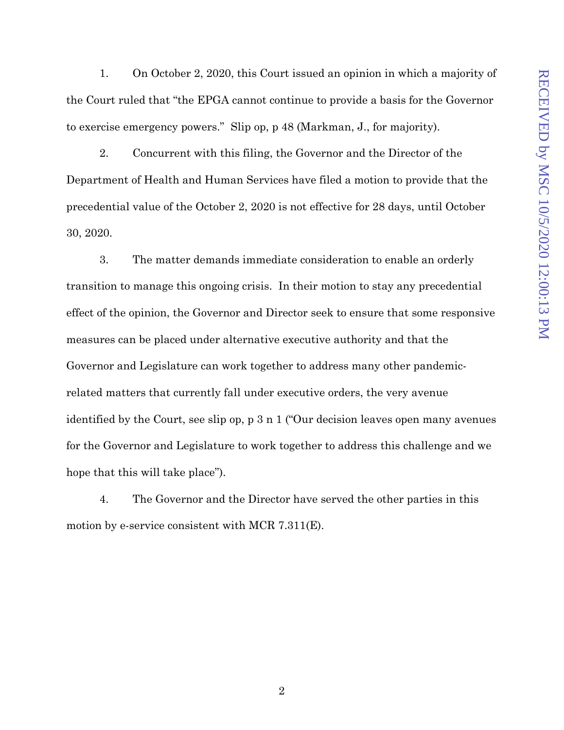1. On October 2, 2020, this Court issued an opinion in which a majority of the Court ruled that "the EPGA cannot continue to provide a basis for the Governor to exercise emergency powers." Slip op, p 48 (Markman, J., for majority).

2. Concurrent with this filing, the Governor and the Director of the Department of Health and Human Services have filed a motion to provide that the precedential value of the October 2, 2020 is not effective for 28 days, until October 30, 2020.

3. The matter demands immediate consideration to enable an orderly transition to manage this ongoing crisis. In their motion to stay any precedential effect of the opinion, the Governor and Director seek to ensure that some responsive measures can be placed under alternative executive authority and that the Governor and Legislature can work together to address many other pandemicrelated matters that currently fall under executive orders, the very avenue identified by the Court, see slip op, p 3 n 1 ("Our decision leaves open many avenues for the Governor and Legislature to work together to address this challenge and we hope that this will take place").

4. The Governor and the Director have served the other parties in this motion by e-service consistent with MCR 7.311(E).